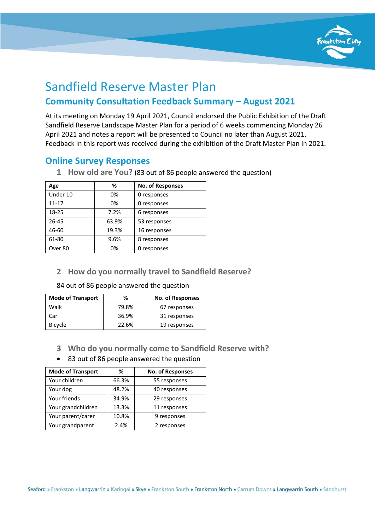

# Sandfield Reserve Master Plan **Community Consultation Feedback Summary – August 2021**

At its meeting on Monday 19 April 2021, Council endorsed the Public Exhibition of the Draft Sandfield Reserve Landscape Master Plan for a period of 6 weeks commencing Monday 26 April 2021 and notes a report will be presented to Council no later than August 2021. Feedback in this report was received during the exhibition of the Draft Master Plan in 2021.

# **Online Survey Responses**

| Age       | %     | <b>No. of Responses</b> |  |
|-----------|-------|-------------------------|--|
| Under 10  | 0%    | 0 responses             |  |
| $11 - 17$ | 0%    | 0 responses             |  |
| 18-25     | 7.2%  | 6 responses             |  |
| 26-45     | 63.9% | 53 responses            |  |
| 46-60     | 19.3% | 16 responses            |  |
| 61-80     | 9.6%  | 8 responses             |  |
| Over 80   | 0%    | 0 responses             |  |

**1 How old are You?** (83 out of 86 people answered the question)

# **2 How do you normally travel to Sandfield Reserve?**

84 out of 86 people answered the question

| <b>Mode of Transport</b> | %     | <b>No. of Responses</b> |
|--------------------------|-------|-------------------------|
| Walk                     | 79.8% | 67 responses            |
| Car                      | 36.9% | 31 responses            |
| <b>Bicycle</b>           | 22.6% | 19 responses            |

- **3 Who do you normally come to Sandfield Reserve with?**
- 83 out of 86 people answered the question

| <b>Mode of Transport</b> | ℅     | No. of Responses |
|--------------------------|-------|------------------|
| Your children            | 66.3% | 55 responses     |
| Your dog                 | 48.2% | 40 responses     |
| Your friends             | 34.9% | 29 responses     |
| Your grandchildren       | 13.3% | 11 responses     |
| Your parent/carer        | 10.8% | 9 responses      |
| Your grandparent         | 2.4%  | 2 responses      |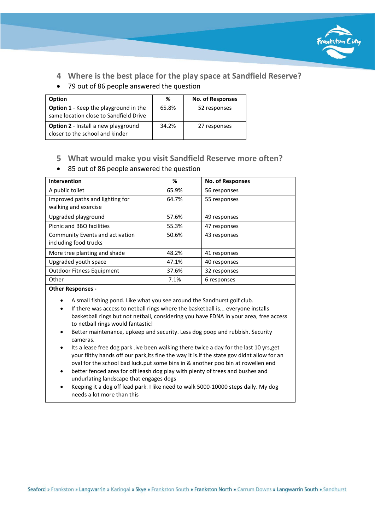

**4 Where is the best place for the play space at Sandfield Reserve?**

# • 79 out of 86 people answered the question

| <b>Option</b>                                                                          | ℅     | <b>No. of Responses</b> |
|----------------------------------------------------------------------------------------|-------|-------------------------|
| <b>Option 1</b> - Keep the playground in the<br>same location close to Sandfield Drive | 65.8% | 52 responses            |
| <b>Option 2</b> - Install a new playground<br>closer to the school and kinder          | 34.2% | 27 responses            |

# **5 What would make you visit Sandfield Reserve more often?**

#### • 85 out of 86 people answered the question

| <b>Intervention</b>                                      | %     | No. of Responses |
|----------------------------------------------------------|-------|------------------|
| A public toilet                                          | 65.9% | 56 responses     |
| Improved paths and lighting for<br>walking and exercise  | 64.7% | 55 responses     |
| Upgraded playground                                      | 57.6% | 49 responses     |
| Picnic and BBQ facilities                                | 55.3% | 47 responses     |
| Community Events and activation<br>including food trucks | 50.6% | 43 responses     |
| More tree planting and shade                             | 48.2% | 41 responses     |
| Upgraded youth space                                     | 47.1% | 40 responses     |
| <b>Outdoor Fitness Equipment</b>                         | 37.6% | 32 responses     |
| Other                                                    | 7.1%  | 6 responses      |

#### **Other Responses -**

- A small fishing pond. Like what you see around the Sandhurst golf club.
- If there was access to netball rings where the basketball is... everyone installs basketball rings but not netball, considering you have FDNA in your area, free access to netball rings would fantastic!
- Better maintenance, upkeep and security. Less dog poop and rubbish. Security cameras.
- Its a lease free dog park .ive been walking there twice a day for the last 10 yrs, get your filthy hands off our park,its fine the way it is.if the state gov didnt allow for an oval for the school bad luck.put some bins in & another poo bin at rowellen end
- better fenced area for off leash dog play with plenty of trees and bushes and undurlating landscape that engages dogs
- Keeping it a dog off lead park. I like need to walk 5000-10000 steps daily. My dog needs a lot more than this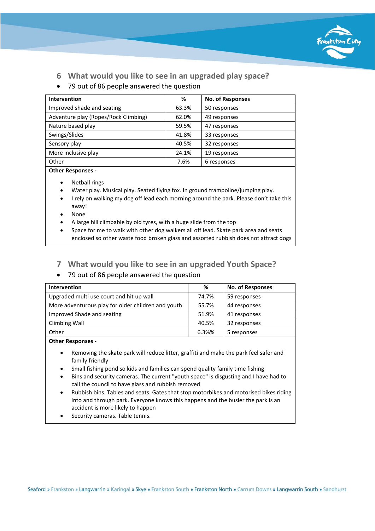

- **6 What would you like to see in an upgraded play space?**
- 79 out of 86 people answered the question

| <b>Intervention</b>                  | %     | <b>No. of Responses</b> |
|--------------------------------------|-------|-------------------------|
| Improved shade and seating           | 63.3% | 50 responses            |
| Adventure play (Ropes/Rock Climbing) | 62.0% | 49 responses            |
| Nature based play                    | 59.5% | 47 responses            |
| Swings/Slides                        | 41.8% | 33 responses            |
| Sensory play                         | 40.5% | 32 responses            |
| More inclusive play                  | 24.1% | 19 responses            |
| Other                                | 7.6%  | 6 responses             |

**Other Responses -**

- Netball rings
- Water play. Musical play. Seated flying fox. In ground trampoline/jumping play.
- I rely on walking my dog off lead each morning around the park. Please don't take this away!
- None
- A large hill climbable by old tyres, with a huge slide from the top
- Space for me to walk with other dog walkers all off lead. Skate park area and seats enclosed so other waste food broken glass and assorted rubbish does not attract dogs
- **7 What would you like to see in an upgraded Youth Space?**

# • 79 out of 86 people answered the question

| <b>Intervention</b>                                | %     | <b>No. of Responses</b> |
|----------------------------------------------------|-------|-------------------------|
| Upgraded multi use court and hit up wall           | 74.7% | 59 responses            |
| More adventurous play for older children and youth | 55.7% | 44 responses            |
| Improved Shade and seating                         | 51.9% | 41 responses            |
| Climbing Wall                                      | 40.5% | 32 responses            |
| Other                                              | 6.3%% | 5 responses             |

**Other Responses -**

- Removing the skate park will reduce litter, graffiti and make the park feel safer and family friendly
- Small fishing pond so kids and families can spend quality family time fishing
- Bins and security cameras. The current "youth space" is disgusting and I have had to call the council to have glass and rubbish removed
- Rubbish bins. Tables and seats. Gates that stop motorbikes and motorised bikes riding into and through park. Everyone knows this happens and the busier the park is an accident is more likely to happen
- Security cameras. Table tennis.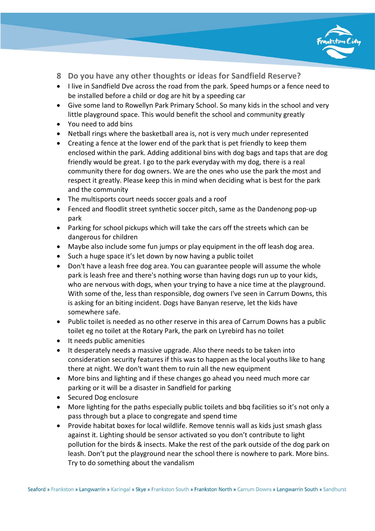

- **8 Do you have any other thoughts or ideas for Sandfield Reserve?**
- I live in Sandfield Dve across the road from the park. Speed humps or a fence need to be installed before a child or dog are hit by a speeding car
- Give some land to Rowellyn Park Primary School. So many kids in the school and very little playground space. This would benefit the school and community greatly
- You need to add bins
- Netball rings where the basketball area is, not is very much under represented
- Creating a fence at the lower end of the park that is pet friendly to keep them enclosed within the park. Adding additional bins with dog bags and taps that are dog friendly would be great. I go to the park everyday with my dog, there is a real community there for dog owners. We are the ones who use the park the most and respect it greatly. Please keep this in mind when deciding what is best for the park and the community
- The multisports court needs soccer goals and a roof
- Fenced and floodlit street synthetic soccer pitch, same as the Dandenong pop-up park
- Parking for school pickups which will take the cars off the streets which can be dangerous for children
- Maybe also include some fun jumps or play equipment in the off leash dog area.
- Such a huge space it's let down by now having a public toilet
- Don't have a leash free dog area. You can guarantee people will assume the whole park is leash free and there's nothing worse than having dogs run up to your kids, who are nervous with dogs, when your trying to have a nice time at the playground. With some of the, less than responsible, dog owners I've seen in Carrum Downs, this is asking for an biting incident. Dogs have Banyan reserve, let the kids have somewhere safe.
- Public toilet is needed as no other reserve in this area of Carrum Downs has a public toilet eg no toilet at the Rotary Park, the park on Lyrebird has no toilet
- It needs public amenities
- It desperately needs a massive upgrade. Also there needs to be taken into consideration security features if this was to happen as the local youths like to hang there at night. We don't want them to ruin all the new equipment
- More bins and lighting and if these changes go ahead you need much more car parking or it will be a disaster in Sandfield for parking
- Secured Dog enclosure
- More lighting for the paths especially public toilets and bbq facilities so it's not only a pass through but a place to congregate and spend time
- Provide habitat boxes for local wildlife. Remove tennis wall as kids just smash glass against it. Lighting should be sensor activated so you don't contribute to light pollution for the birds & insects. Make the rest of the park outside of the dog park on leash. Don't put the playground near the school there is nowhere to park. More bins. Try to do something about the vandalism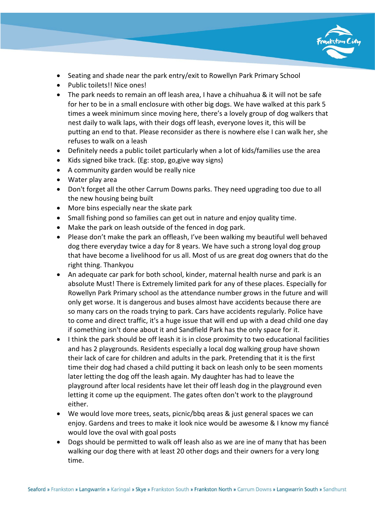

- Seating and shade near the park entry/exit to Rowellyn Park Primary School
- Public toilets!! Nice ones!
- The park needs to remain an off leash area, I have a chihuahua & it will not be safe for her to be in a small enclosure with other big dogs. We have walked at this park 5 times a week minimum since moving here, there's a lovely group of dog walkers that nest daily to walk laps, with their dogs off leash, everyone loves it, this will be putting an end to that. Please reconsider as there is nowhere else I can walk her, she refuses to walk on a leash
- Definitely needs a public toilet particularly when a lot of kids/families use the area
- Kids signed bike track. (Eg: stop, go,give way signs)
- A community garden would be really nice
- Water play area
- Don't forget all the other Carrum Downs parks. They need upgrading too due to all the new housing being built
- More bins especially near the skate park
- Small fishing pond so families can get out in nature and enjoy quality time.
- Make the park on leash outside of the fenced in dog park.
- Please don't make the park an offleash, I've been walking my beautiful well behaved dog there everyday twice a day for 8 years. We have such a strong loyal dog group that have become a livelihood for us all. Most of us are great dog owners that do the right thing. Thankyou
- An adequate car park for both school, kinder, maternal health nurse and park is an absolute Must! There is Extremely limited park for any of these places. Especially for Rowellyn Park Primary school as the attendance number grows in the future and will only get worse. It is dangerous and buses almost have accidents because there are so many cars on the roads trying to park. Cars have accidents regularly. Police have to come and direct traffic, it's a huge issue that will end up with a dead child one day if something isn't done about it and Sandfield Park has the only space for it.
- I think the park should be off leash it is in close proximity to two educational facilities and has 2 playgrounds. Residents especially a local dog walking group have shown their lack of care for children and adults in the park. Pretending that it is the first time their dog had chased a child putting it back on leash only to be seen moments later letting the dog off the leash again. My daughter has had to leave the playground after local residents have let their off leash dog in the playground even letting it come up the equipment. The gates often don't work to the playground either.
- We would love more trees, seats, picnic/bbq areas & just general spaces we can enjoy. Gardens and trees to make it look nice would be awesome & I know my fiancé would love the oval with goal posts
- Dogs should be permitted to walk off leash also as we are ine of many that has been walking our dog there with at least 20 other dogs and their owners for a very long time.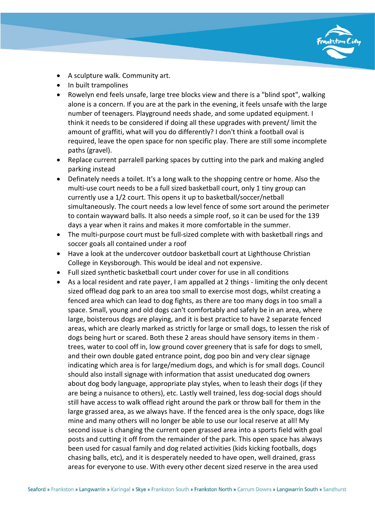

- A sculpture walk. Community art.
- In built trampolines
- Rowelyn end feels unsafe, large tree blocks view and there is a "blind spot", walking alone is a concern. If you are at the park in the evening, it feels unsafe with the large number of teenagers. Playground needs shade, and some updated equipment. I think it needs to be considered if doing all these upgrades with prevent/ limit the amount of graffiti, what will you do differently? I don't think a football oval is required, leave the open space for non specific play. There are still some incomplete paths (gravel).
- Replace current parralell parking spaces by cutting into the park and making angled parking instead
- Definately needs a toilet. It's a long walk to the shopping centre or home. Also the multi-use court needs to be a full sized basketball court, only 1 tiny group can currently use a 1/2 court. This opens it up to basketball/soccer/netball simultaneously. The court needs a low level fence of some sort around the perimeter to contain wayward balls. It also needs a simple roof, so it can be used for the 139 days a year when it rains and makes it more comfortable in the summer.
- The multi-purpose court must be full-sized complete with with basketball rings and soccer goals all contained under a roof
- Have a look at the undercover outdoor basketball court at Lighthouse Christian College in Keysborough. This would be ideal and not expensive.
- Full sized synthetic basketball court under cover for use in all conditions
- As a local resident and rate payer, I am appalled at 2 things limiting the only decent sized offlead dog park to an area too small to exercise most dogs, whilst creating a fenced area which can lead to dog fights, as there are too many dogs in too small a space. Small, young and old dogs can't comfortably and safely be in an area, where large, boisterous dogs are playing, and it is best practice to have 2 separate fenced areas, which are clearly marked as strictly for large or small dogs, to lessen the risk of dogs being hurt or scared. Both these 2 areas should have sensory items in them trees, water to cool off in, low ground cover greenery that is safe for dogs to smell, and their own double gated entrance point, dog poo bin and very clear signage indicating which area is for large/medium dogs, and which is for small dogs. Council should also install signage with information that assist uneducated dog owners about dog body language, appropriate play styles, when to leash their dogs (if they are being a nuisance to others), etc. Lastly well trained, less dog-social dogs should still have access to walk offlead right around the park or throw ball for them in the large grassed area, as we always have. If the fenced area is the only space, dogs like mine and many others will no longer be able to use our local reserve at all! My second issue is changing the current open grassed area into a sports field with goal posts and cutting it off from the remainder of the park. This open space has always been used for casual family and dog related activities (kids kicking footballs, dogs chasing balls, etc), and it is desperately needed to have open, well drained, grass areas for everyone to use. With every other decent sized reserve in the area used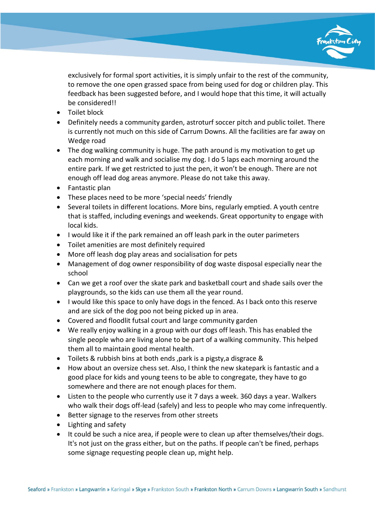

exclusively for formal sport activities, it is simply unfair to the rest of the community, to remove the one open grassed space from being used for dog or children play. This feedback has been suggested before, and I would hope that this time, it will actually be considered!!

- Toilet block
- Definitely needs a community garden, astroturf soccer pitch and public toilet. There is currently not much on this side of Carrum Downs. All the facilities are far away on Wedge road
- The dog walking community is huge. The path around is my motivation to get up each morning and walk and socialise my dog. I do 5 laps each morning around the entire park. If we get restricted to just the pen, it won't be enough. There are not enough off lead dog areas anymore. Please do not take this away.
- Fantastic plan
- These places need to be more 'special needs' friendly
- Several toilets in different locations. More bins, regularly emptied. A youth centre that is staffed, including evenings and weekends. Great opportunity to engage with local kids.
- I would like it if the park remained an off leash park in the outer parimeters
- Toilet amenities are most definitely required
- More off leash dog play areas and socialisation for pets
- Management of dog owner responsibility of dog waste disposal especially near the school
- Can we get a roof over the skate park and basketball court and shade sails over the playgrounds, so the kids can use them all the year round.
- I would like this space to only have dogs in the fenced. As I back onto this reserve and are sick of the dog poo not being picked up in area.
- Covered and floodlit futsal court and large community garden
- We really enjoy walking in a group with our dogs off leash. This has enabled the single people who are living alone to be part of a walking community. This helped them all to maintain good mental health.
- Toilets & rubbish bins at both ends ,park is a pigsty,a disgrace &
- How about an oversize chess set. Also, I think the new skatepark is fantastic and a good place for kids and young teens to be able to congregate, they have to go somewhere and there are not enough places for them.
- Listen to the people who currently use it 7 days a week. 360 days a year. Walkers who walk their dogs off-lead (safely) and less to people who may come infrequently.
- Better signage to the reserves from other streets
- Lighting and safety
- It could be such a nice area, if people were to clean up after themselves/their dogs. It's not just on the grass either, but on the paths. If people can't be fined, perhaps some signage requesting people clean up, might help.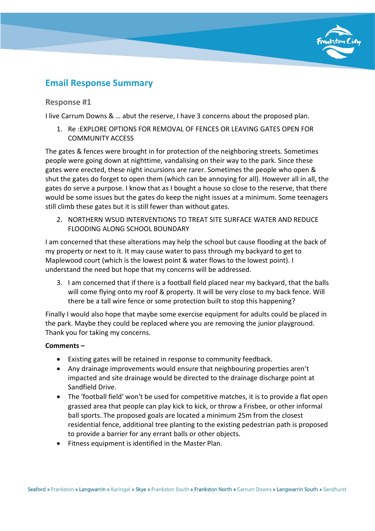

# **Email Response Summary**

# **Response #1**

I live Carrum Downs & … abut the reserve, I have 3 concerns about the proposed plan.

1. Re :EXPLORE OPTIONS FOR REMOVAL OF FENCES OR LEAVING GATES OPEN FOR COMMUNITY ACCESS

The gates & fences were brought in for protection of the neighboring streets. Sometimes people were going down at nighttime, vandalising on their way to the park. Since these gates were erected, these night incursions are rarer. Sometimes the people who open & shut the gates do forget to open them (which can be annoying for all). However all in all, the gates do serve a purpose. I know that as I bought a house so close to the reserve, that there would be some issues but the gates do keep the night issues at a minimum. Some teenagers still climb these gates but it is still fewer than without gates.

2. NORTHERN WSUD INTERVENTIONS TO TREAT SITE SURFACE WATER AND REDUCE FLOODING ALONG SCHOOL BOUNDARY

I am concerned that these alterations may help the school but cause flooding at the back of my property or next to it. It may cause water to pass through my backyard to get to Maplewood court (which is the lowest point & water flows to the lowest point). I understand the need but hope that my concerns will be addressed.

3. I am concerned that if there is a football field placed near my backyard, that the balls will come flying onto my roof & property. It will be very close to my back fence. Will there be a tall wire fence or some protection built to stop this happening?

Finally I would also hope that maybe some exercise equipment for adults could be placed in the park. Maybe they could be replaced where you are removing the junior playground. Thank you for taking my concerns.

# **Comments –**

- Existing gates will be retained in response to community feedback.
- Any drainage improvements would ensure that neighbouring properties aren't impacted and site drainage would be directed to the drainage discharge point at Sandfield Drive.
- The 'football field' won't be used for competitive matches, it is to provide a flat open grassed area that people can play kick to kick, or throw a Frisbee, or other informal ball sports. The proposed goals are located a minimum 25m from the closest residential fence, additional tree planting to the existing pedestrian path is proposed to provide a barrier for any errant balls or other objects.
- Fitness equipment is identified in the Master Plan.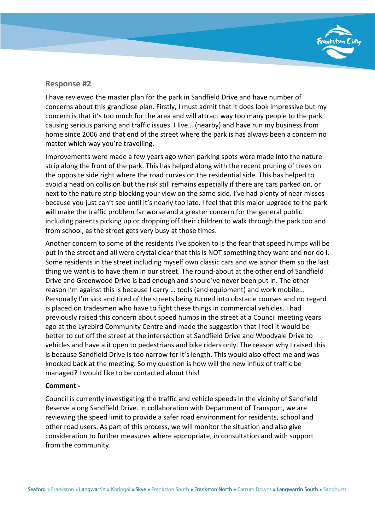

I have reviewed the master plan for the park in Sandfield Drive and have number of concerns about this grandiose plan. Firstly, I must admit that it does look impressive but my concern is that it's too much for the area and will attract way too many people to the park causing serious parking and traffic issues. I live… (nearby) and have run my business from home since 2006 and that end of the street where the park is has always been a concern no matter which way you're travelling.

Improvements were made a few years ago when parking spots were made into the nature strip along the front of the park. This has helped along with the recent pruning of trees on the opposite side right where the road curves on the residential side. This has helped to avoid a head on collision but the risk still remains especially if there are cars parked on, or next to the nature strip blocking your view on the same side. I've had plenty of near misses because you just can't see until it's nearly too late. I feel that this major upgrade to the park will make the traffic problem far worse and a greater concern for the general public including parents picking up or dropping off their children to walk through the park too and from school, as the street gets very busy at those times.

Another concern to some of the residents I've spoken to is the fear that speed humps will be put in the street and all were crystal clear that this is NOT something they want and nor do I. Some residents in the street including myself own classic cars and we abhor them so the last thing we want is to have them in our street. The round-about at the other end of Sandfield Drive and Greenwood Drive is bad enough and should've never been put in. The other reason I'm against this is because I carry … tools (and equipment) and work mobile... Personally I'm sick and tired of the streets being turned into obstacle courses and no regard is placed on tradesmen who have to fight these things in commercial vehicles. I had previously raised this concern about speed humps in the street at a Council meeting years ago at the Lyrebird Community Centre and made the suggestion that I feel it would be better to cut off the street at the intersection at Sandfield Drive and Woodvale Drive to vehicles and have a it open to pedestrians and bike riders only. The reason why I raised this is because Sandfield Drive is too narrow for it's length. This would also effect me and was knocked back at the meeting. So my question is how will the new influx of traffic be managed? I would like to be contacted about this!

# **Comment -**

Council is currently investigating the traffic and vehicle speeds in the vicinity of Sandfield Reserve along Sandfield Drive. In collaboration with Department of Transport, we are reviewing the speed limit to provide a safer road environment for residents, school and other road users. As part of this process, we will monitor the situation and also give consideration to further measures where appropriate, in consultation and with support from the community.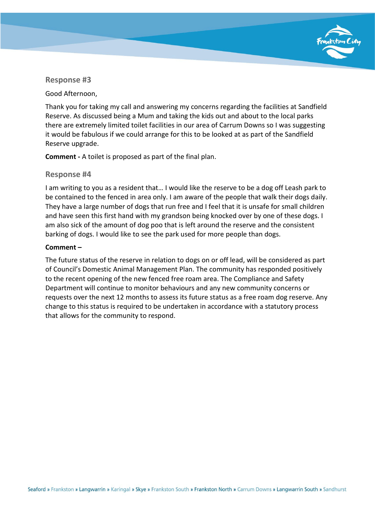

Good Afternoon,

Thank you for taking my call and answering my concerns regarding the facilities at Sandfield Reserve. As discussed being a Mum and taking the kids out and about to the local parks there are extremely limited toilet facilities in our area of Carrum Downs so I was suggesting it would be fabulous if we could arrange for this to be looked at as part of the Sandfield Reserve upgrade.

**Comment -** A toilet is proposed as part of the final plan.

# **Response #4**

I am writing to you as a resident that… I would like the reserve to be a dog off Leash park to be contained to the fenced in area only. I am aware of the people that walk their dogs daily. They have a large number of dogs that run free and I feel that it is unsafe for small children and have seen this first hand with my grandson being knocked over by one of these dogs. I am also sick of the amount of dog poo that is left around the reserve and the consistent barking of dogs. I would like to see the park used for more people than dogs.

# **Comment –**

The future status of the reserve in relation to dogs on or off lead, will be considered as part of Council's Domestic Animal Management Plan. The community has responded positively to the recent opening of the new fenced free roam area. The Compliance and Safety Department will continue to monitor behaviours and any new community concerns or requests over the next 12 months to assess its future status as a free roam dog reserve. Any change to this status is required to be undertaken in accordance with a statutory process that allows for the community to respond.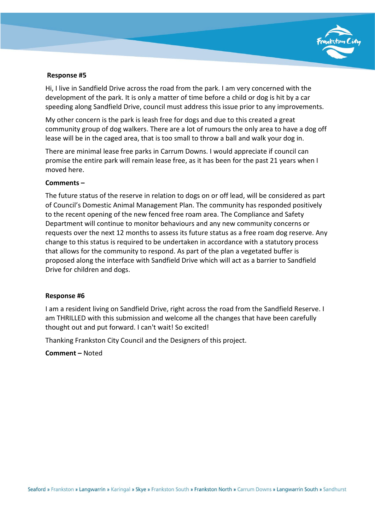

Hi, I live in Sandfield Drive across the road from the park. I am very concerned with the development of the park. It is only a matter of time before a child or dog is hit by a car speeding along Sandfield Drive, council must address this issue prior to any improvements.

My other concern is the park is leash free for dogs and due to this created a great community group of dog walkers. There are a lot of rumours the only area to have a dog off lease will be in the caged area, that is too small to throw a ball and walk your dog in.

There are minimal lease free parks in Carrum Downs. I would appreciate if council can promise the entire park will remain lease free, as it has been for the past 21 years when I moved here.

# **Comments –**

The future status of the reserve in relation to dogs on or off lead, will be considered as part of Council's Domestic Animal Management Plan. The community has responded positively to the recent opening of the new fenced free roam area. The Compliance and Safety Department will continue to monitor behaviours and any new community concerns or requests over the next 12 months to assess its future status as a free roam dog reserve. Any change to this status is required to be undertaken in accordance with a statutory process that allows for the community to respond. As part of the plan a vegetated buffer is proposed along the interface with Sandfield Drive which will act as a barrier to Sandfield Drive for children and dogs.

#### **Response #6**

I am a resident living on Sandfield Drive, right across the road from the Sandfield Reserve. I am THRILLED with this submission and welcome all the changes that have been carefully thought out and put forward. I can't wait! So excited!

Thanking Frankston City Council and the Designers of this project.

**Comment –** Noted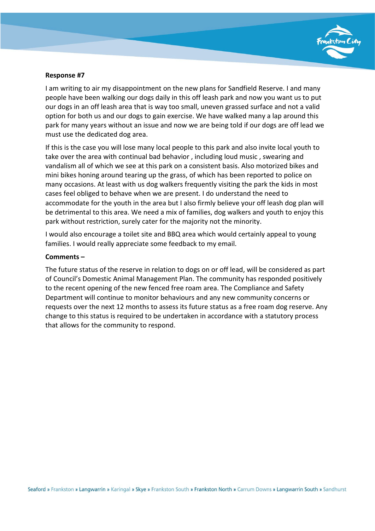

I am writing to air my disappointment on the new plans for Sandfield Reserve. I and many people have been walking our dogs daily in this off leash park and now you want us to put our dogs in an off leash area that is way too small, uneven grassed surface and not a valid option for both us and our dogs to gain exercise. We have walked many a lap around this park for many years without an issue and now we are being told if our dogs are off lead we must use the dedicated dog area.

If this is the case you will lose many local people to this park and also invite local youth to take over the area with continual bad behavior , including loud music , swearing and vandalism all of which we see at this park on a consistent basis. Also motorized bikes and mini bikes honing around tearing up the grass, of which has been reported to police on many occasions. At least with us dog walkers frequently visiting the park the kids in most cases feel obliged to behave when we are present. I do understand the need to accommodate for the youth in the area but I also firmly believe your off leash dog plan will be detrimental to this area. We need a mix of families, dog walkers and youth to enjoy this park without restriction, surely cater for the majority not the minority.

I would also encourage a toilet site and BBQ area which would certainly appeal to young families. I would really appreciate some feedback to my email.

#### **Comments –**

The future status of the reserve in relation to dogs on or off lead, will be considered as part of Council's Domestic Animal Management Plan. The community has responded positively to the recent opening of the new fenced free roam area. The Compliance and Safety Department will continue to monitor behaviours and any new community concerns or requests over the next 12 months to assess its future status as a free roam dog reserve. Any change to this status is required to be undertaken in accordance with a statutory process that allows for the community to respond.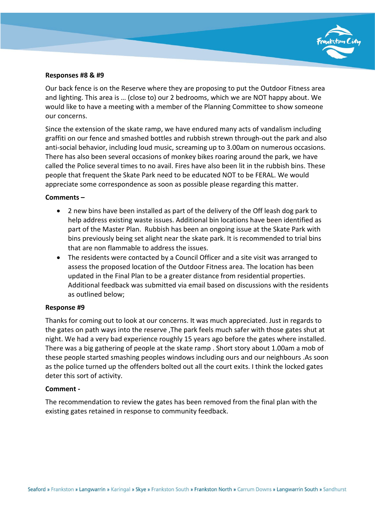

#### **Responses #8 & #9**

Our back fence is on the Reserve where they are proposing to put the Outdoor Fitness area and lighting. This area is … (close to) our 2 bedrooms, which we are NOT happy about. We would like to have a meeting with a member of the Planning Committee to show someone our concerns.

Since the extension of the skate ramp, we have endured many acts of vandalism including graffiti on our fence and smashed bottles and rubbish strewn through-out the park and also anti-social behavior, including loud music, screaming up to 3.00am on numerous occasions. There has also been several occasions of monkey bikes roaring around the park, we have called the Police several times to no avail. Fires have also been lit in the rubbish bins. These people that frequent the Skate Park need to be educated NOT to be FERAL. We would appreciate some correspondence as soon as possible please regarding this matter.

#### **Comments –**

- 2 new bins have been installed as part of the delivery of the Off leash dog park to help address existing waste issues. Additional bin locations have been identified as part of the Master Plan. Rubbish has been an ongoing issue at the Skate Park with bins previously being set alight near the skate park. It is recommended to trial bins that are non flammable to address the issues.
- The residents were contacted by a Council Officer and a site visit was arranged to assess the proposed location of the Outdoor Fitness area. The location has been updated in the Final Plan to be a greater distance from residential properties. Additional feedback was submitted via email based on discussions with the residents as outlined below;

#### **Response #9**

Thanks for coming out to look at our concerns. It was much appreciated. Just in regards to the gates on path ways into the reserve ,The park feels much safer with those gates shut at night. We had a very bad experience roughly 15 years ago before the gates where installed. There was a big gathering of people at the skate ramp . Short story about 1.00am a mob of these people started smashing peoples windows including ours and our neighbours .As soon as the police turned up the offenders bolted out all the court exits. I think the locked gates deter this sort of activity.

#### **Comment -**

The recommendation to review the gates has been removed from the final plan with the existing gates retained in response to community feedback.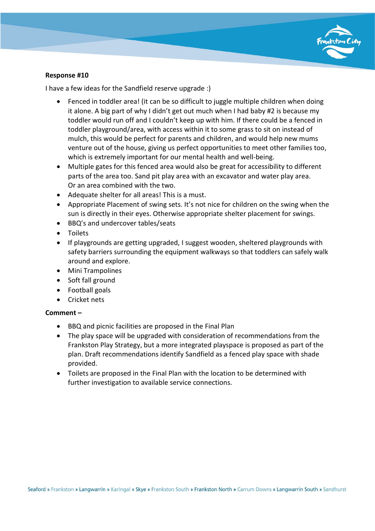

I have a few ideas for the Sandfield reserve upgrade :)

- Fenced in toddler area! (it can be so difficult to juggle multiple children when doing it alone. A big part of why I didn't get out much when I had baby #2 is because my toddler would run off and I couldn't keep up with him. If there could be a fenced in toddler playground/area, with access within it to some grass to sit on instead of mulch, this would be perfect for parents and children, and would help new mums venture out of the house, giving us perfect opportunities to meet other families too, which is extremely important for our mental health and well-being.
- Multiple gates for this fenced area would also be great for accessibility to different parts of the area too. Sand pit play area with an excavator and water play area. Or an area combined with the two.
- Adequate shelter for all areas! This is a must.
- Appropriate Placement of swing sets. It's not nice for children on the swing when the sun is directly in their eyes. Otherwise appropriate shelter placement for swings.
- BBQ's and undercover tables/seats
- Toilets
- If playgrounds are getting upgraded, I suggest wooden, sheltered playgrounds with safety barriers surrounding the equipment walkways so that toddlers can safely walk around and explore.
- Mini Trampolines
- Soft fall ground
- Football goals
- Cricket nets

# **Comment –**

- BBQ and picnic facilities are proposed in the Final Plan
- The play space will be upgraded with consideration of recommendations from the Frankston Play Strategy, but a more integrated playspace is proposed as part of the plan. Draft recommendations identify Sandfield as a fenced play space with shade provided.
- Toilets are proposed in the Final Plan with the location to be determined with further investigation to available service connections.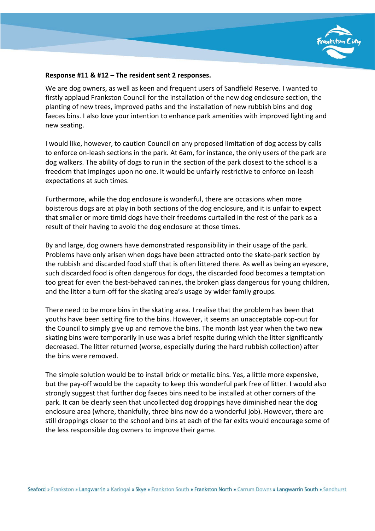

#### **Response #11 & #12 – The resident sent 2 responses.**

We are dog owners, as well as keen and frequent users of Sandfield Reserve. I wanted to firstly applaud Frankston Council for the installation of the new dog enclosure section, the planting of new trees, improved paths and the installation of new rubbish bins and dog faeces bins. I also love your intention to enhance park amenities with improved lighting and new seating.

I would like, however, to caution Council on any proposed limitation of dog access by calls to enforce on-leash sections in the park. At 6am, for instance, the only users of the park are dog walkers. The ability of dogs to run in the section of the park closest to the school is a freedom that impinges upon no one. It would be unfairly restrictive to enforce on-leash expectations at such times.

Furthermore, while the dog enclosure is wonderful, there are occasions when more boisterous dogs are at play in both sections of the dog enclosure, and it is unfair to expect that smaller or more timid dogs have their freedoms curtailed in the rest of the park as a result of their having to avoid the dog enclosure at those times.

By and large, dog owners have demonstrated responsibility in their usage of the park. Problems have only arisen when dogs have been attracted onto the skate-park section by the rubbish and discarded food stuff that is often littered there. As well as being an eyesore, such discarded food is often dangerous for dogs, the discarded food becomes a temptation too great for even the best-behaved canines, the broken glass dangerous for young children, and the litter a turn-off for the skating area's usage by wider family groups.

There need to be more bins in the skating area. I realise that the problem has been that youths have been setting fire to the bins. However, it seems an unacceptable cop-out for the Council to simply give up and remove the bins. The month last year when the two new skating bins were temporarily in use was a brief respite during which the litter significantly decreased. The litter returned (worse, especially during the hard rubbish collection) after the bins were removed.

The simple solution would be to install brick or metallic bins. Yes, a little more expensive, but the pay-off would be the capacity to keep this wonderful park free of litter. I would also strongly suggest that further dog faeces bins need to be installed at other corners of the park. It can be clearly seen that uncollected dog droppings have diminished near the dog enclosure area (where, thankfully, three bins now do a wonderful job). However, there are still droppings closer to the school and bins at each of the far exits would encourage some of the less responsible dog owners to improve their game.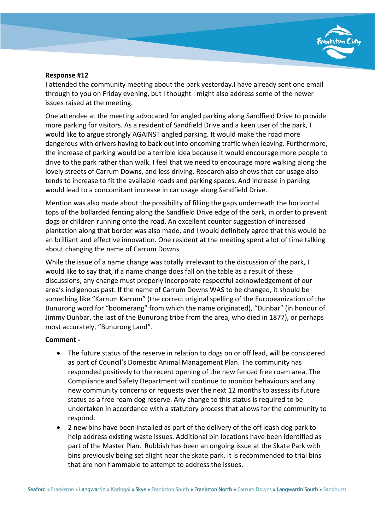

I attended the community meeting about the park yesterday.I have already sent one email through to you on Friday evening, but I thought I might also address some of the newer issues raised at the meeting.

One attendee at the meeting advocated for angled parking along Sandfield Drive to provide more parking for visitors. As a resident of Sandfield Drive and a keen user of the park, I would like to argue strongly AGAINST angled parking. It would make the road more dangerous with drivers having to back out into oncoming traffic when leaving. Furthermore, the increase of parking would be a terrible idea because it would encourage more people to drive to the park rather than walk. I feel that we need to encourage more walking along the lovely streets of Carrum Downs, and less driving. Research also shows that car usage also tends to increase to fit the available roads and parking spaces. And increase in parking would lead to a concomitant increase in car usage along Sandfield Drive.

Mention was also made about the possibility of filling the gaps underneath the horizontal tops of the bollarded fencing along the Sandfield Drive edge of the park, in order to prevent dogs or children running onto the road. An excellent counter suggestion of increased plantation along that border was also made, and I would definitely agree that this would be an brilliant and effective innovation. One resident at the meeting spent a lot of time talking about changing the name of Carrum Downs.

While the issue of a name change was totally irrelevant to the discussion of the park, I would like to say that, if a name change does fall on the table as a result of these discussions, any change must properly incorporate respectful acknowledgement of our area's indigenous past. If the name of Carrum Downs WAS to be changed, it should be something like "Karrum Karrum" (the correct original spelling of the Europeanization of the Bunurong word for "boomerang" from which the name originated), "Dunbar" (in honour of Jimmy Dunbar, the last of the Bunurong tribe from the area, who died in 1877), or perhaps most accurately, "Bunurong Land".

# **Comment -**

- The future status of the reserve in relation to dogs on or off lead, will be considered as part of Council's Domestic Animal Management Plan. The community has responded positively to the recent opening of the new fenced free roam area. The Compliance and Safety Department will continue to monitor behaviours and any new community concerns or requests over the next 12 months to assess its future status as a free roam dog reserve. Any change to this status is required to be undertaken in accordance with a statutory process that allows for the community to respond.
- 2 new bins have been installed as part of the delivery of the off leash dog park to help address existing waste issues. Additional bin locations have been identified as part of the Master Plan. Rubbish has been an ongoing issue at the Skate Park with bins previously being set alight near the skate park. It is recommended to trial bins that are non flammable to attempt to address the issues.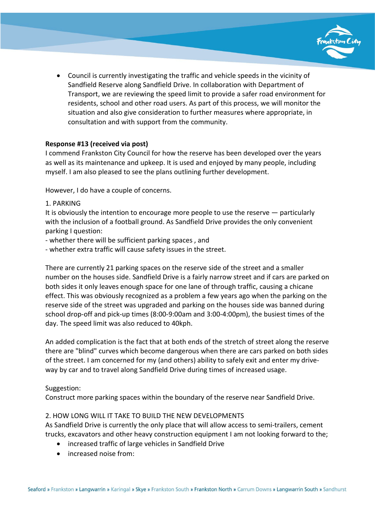

• Council is currently investigating the traffic and vehicle speeds in the vicinity of Sandfield Reserve along Sandfield Drive. In collaboration with Department of Transport, we are reviewing the speed limit to provide a safer road environment for residents, school and other road users. As part of this process, we will monitor the situation and also give consideration to further measures where appropriate, in consultation and with support from the community.

# **Response #13 (received via post)**

I commend Frankston City Council for how the reserve has been developed over the years as well as its maintenance and upkeep. It is used and enjoyed by many people, including myself. I am also pleased to see the plans outlining further development.

However, I do have a couple of concerns.

1. PARKING

It is obviously the intention to encourage more people to use the reserve — particularly with the inclusion of a football ground. As Sandfield Drive provides the only convenient parking I question:

- whether there will be sufficient parking spaces , and
- whether extra traffic will cause safety issues in the street.

There are currently 21 parking spaces on the reserve side of the street and a smaller number on the houses side. Sandfield Drive is a fairly narrow street and if cars are parked on both sides it only leaves enough space for one lane of through traffic, causing a chicane effect. This was obviously recognized as a problem a few years ago when the parking on the reserve side of the street was upgraded and parking on the houses side was banned during school drop-off and pick-up times (8:00-9:00am and 3:00-4:00pm), the busiest times of the day. The speed limit was also reduced to 40kph.

An added complication is the fact that at both ends of the stretch of street along the reserve there are "blind" curves which become dangerous when there are cars parked on both sides of the street. I am concerned for my (and others) ability to safely exit and enter my driveway by car and to travel along Sandfield Drive during times of increased usage.

# Suggestion:

Construct more parking spaces within the boundary of the reserve near Sandfield Drive.

# 2. HOW LONG WILL IT TAKE TO BUILD THE NEW DEVELOPMENTS

As Sandfield Drive is currently the only place that will allow access to semi-trailers, cement trucks, excavators and other heavy construction equipment I am not looking forward to the;

- increased traffic of large vehicles in Sandfield Drive
- increased noise from: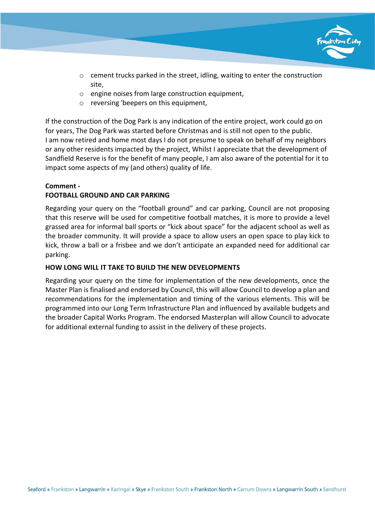

- $\circ$  cement trucks parked in the street, idling, waiting to enter the construction site,
- $\circ$  engine noises from large construction equipment.
- o reversing 'beepers on this equipment,

If the construction of the Dog Park is any indication of the entire project, work could go on for years, The Dog Park was started before Christmas and is still not open to the public. I am now retired and home most days I do not presume to speak on behalf of my neighbors or any other residents impacted by the project, Whilst I appreciate that the development of Sandfield Reserve is for the benefit of many people, I am also aware of the potential for it to impact some aspects of my (and others) quality of life.

# **Comment -**

# **FOOTBALL GROUND AND CAR PARKING**

Regarding your query on the "football ground" and car parking, Council are not proposing that this reserve will be used for competitive football matches, it is more to provide a level grassed area for informal ball sports or "kick about space" for the adjacent school as well as the broader community. It will provide a space to allow users an open space to play kick to kick, throw a ball or a frisbee and we don't anticipate an expanded need for additional car parking.

# **HOW LONG WILL IT TAKE TO BUILD THE NEW DEVELOPMENTS**

Regarding your query on the time for implementation of the new developments, once the Master Plan is finalised and endorsed by Council, this will allow Council to develop a plan and recommendations for the implementation and timing of the various elements. This will be programmed into our Long Term Infrastructure Plan and influenced by available budgets and the broader Capital Works Program. The endorsed Masterplan will allow Council to advocate for additional external funding to assist in the delivery of these projects.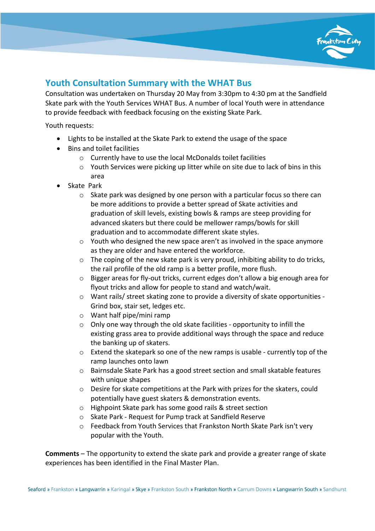

# **Youth Consultation Summary with the WHAT Bus**

Consultation was undertaken on Thursday 20 May from 3:30pm to 4:30 pm at the Sandfield Skate park with the Youth Services WHAT Bus. A number of local Youth were in attendance to provide feedback with feedback focusing on the existing Skate Park.

Youth requests:

- Lights to be installed at the Skate Park to extend the usage of the space
- Bins and toilet facilities
	- o Currently have to use the local McDonalds toilet facilities
	- $\circ$  Youth Services were picking up litter while on site due to lack of bins in this area
- Skate Park
	- $\circ$  Skate park was designed by one person with a particular focus so there can be more additions to provide a better spread of Skate activities and graduation of skill levels, existing bowls & ramps are steep providing for advanced skaters but there could be mellower ramps/bowls for skill graduation and to accommodate different skate styles.
	- $\circ$  Youth who designed the new space aren't as involved in the space anymore as they are older and have entered the workforce.
	- $\circ$  The coping of the new skate park is very proud, inhibiting ability to do tricks, the rail profile of the old ramp is a better profile, more flush.
	- o Bigger areas for fly-out tricks, current edges don't allow a big enough area for flyout tricks and allow for people to stand and watch/wait.
	- $\circ$  Want rails/ street skating zone to provide a diversity of skate opportunities -Grind box, stair set, ledges etc.
	- o Want half pipe/mini ramp
	- o Only one way through the old skate facilities opportunity to infill the existing grass area to provide additional ways through the space and reduce the banking up of skaters.
	- $\circ$  Extend the skatepark so one of the new ramps is usable currently top of the ramp launches onto lawn
	- o Bairnsdale Skate Park has a good street section and small skatable features with unique shapes
	- o Desire for skate competitions at the Park with prizes for the skaters, could potentially have guest skaters & demonstration events.
	- o Highpoint Skate park has some good rails & street section
	- o Skate Park Request for Pump track at Sandfield Reserve
	- o Feedback from Youth Services that Frankston North Skate Park isn't very popular with the Youth.

**Comments** – The opportunity to extend the skate park and provide a greater range of skate experiences has been identified in the Final Master Plan.